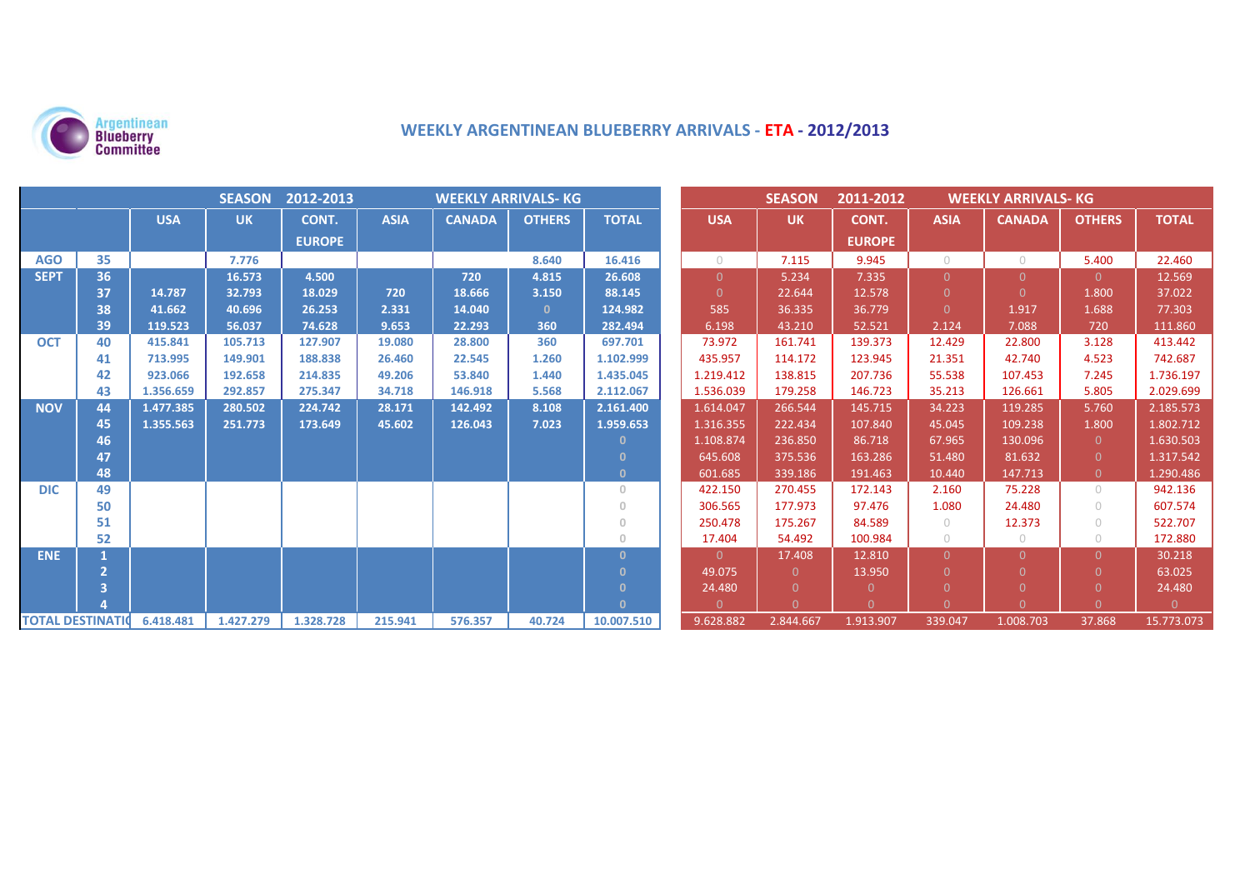

# **WEEKLY ARGENTINEAN BLUEBERRY ARRIVALS - ETA - 2012/2013**

| <b>SEASON</b><br>2012-2013<br><b>WEEKLY ARRIVALS- KG</b> |    |            |           |               |             |               |               | <b>SEASON</b><br>2011-2012<br><b>WEEKLY ARRIVALS- KG</b> |                |           |               |                |               |                |              |
|----------------------------------------------------------|----|------------|-----------|---------------|-------------|---------------|---------------|----------------------------------------------------------|----------------|-----------|---------------|----------------|---------------|----------------|--------------|
|                                                          |    | <b>USA</b> | <b>UK</b> | CONT.         | <b>ASIA</b> | <b>CANADA</b> | <b>OTHERS</b> | <b>TOTAL</b>                                             | <b>USA</b>     | <b>UK</b> | CONT.         | <b>ASIA</b>    | <b>CANADA</b> | <b>OTHERS</b>  | <b>TOTAL</b> |
|                                                          |    |            |           | <b>EUROPE</b> |             |               |               |                                                          |                |           | <b>EUROPE</b> |                |               |                |              |
| <b>AGO</b>                                               | 35 |            | 7.776     |               |             |               | 8.640         | 16.416                                                   | $\bigcirc$     | 7.115     | 9.945         | $\circ$        | $\bigcap$     | 5.400          | 22.460       |
| <b>SEPT</b>                                              | 36 |            | 16.573    | 4.500         |             | 720           | 4.815         | 26.608                                                   | $\overline{0}$ | 5.234     | 7.335         | $\overline{0}$ | $\Omega$      | $\Omega$       | 12.569       |
|                                                          | 37 | 14.787     | 32.793    | 18.029        | 720         | 18.666        | 3.150         | 88.145                                                   | $\Omega$       | 22.644    | 12.578        | $\overline{0}$ | $\Omega$      | 1.800          | 37.022       |
|                                                          | 38 | 41.662     | 40.696    | 26.253        | 2.331       | 14.040        | $\mathbf{0}$  | 124.982                                                  | 585            | 36.335    | 36.779        | $\Omega$       | 1.917         | 1.688          | 77.303       |
|                                                          | 39 | 119.523    | 56.037    | 74.628        | 9.653       | 22.293        | 360           | 282.494                                                  | 6.198          | 43.210    | 52.521        | 2.124          | 7.088         | 720            | 111.860      |
| <b>OCT</b>                                               | 40 | 415.841    | 105.713   | 127.907       | 19.080      | 28.800        | 360           | 697.701                                                  | 73.972         | 161.741   | 139.373       | 12.429         | 22.800        | 3.128          | 413.442      |
|                                                          | 41 | 713.995    | 149.901   | 188.838       | 26.460      | 22.545        | 1.260         | 1.102.999                                                | 435.957        | 114.172   | 123.945       | 21.351         | 42.740        | 4.523          | 742.687      |
|                                                          | 42 | 923.066    | 192.658   | 214.835       | 49.206      | 53.840        | 1.440         | 1.435.045                                                | 1.219.412      | 138.815   | 207.736       | 55.538         | 107.453       | 7.245          | 1.736.197    |
|                                                          | 43 | 1.356.659  | 292.857   | 275.347       | 34.718      | 146.918       | 5.568         | 2.112.067                                                | 1.536.039      | 179.258   | 146.723       | 35.213         | 126.661       | 5.805          | 2.029.699    |
| <b>NOV</b>                                               | 44 | 1.477.385  | 280.502   | 224.742       | 28.171      | 142.492       | 8.108         | 2.161.400                                                | 1.614.047      | 266.544   | 145.715       | 34.223         | 119.285       | 5.760          | 2.185.573    |
|                                                          | 45 | 1.355.563  | 251.773   | 173.649       | 45.602      | 126.043       | 7.023         | 1.959.653                                                | 1.316.355      | 222.434   | 107.840       | 45.045         | 109.238       | 1.800          | 1.802.712    |
|                                                          | 46 |            |           |               |             |               |               |                                                          | 1.108.874      | 236.850   | 86.718        | 67.965         | 130.096       | $\overline{0}$ | 1.630.503    |
|                                                          | 47 |            |           |               |             |               |               | $\Omega$                                                 | 645.608        | 375.536   | 163.286       | 51.480         | 81.632        | $\Omega$       | 1.317.542    |
|                                                          | 48 |            |           |               |             |               |               | $\mathbf{0}$                                             | 601.685        | 339.186   | 191.463       | 10.440         | 147.713       | $\Omega$       | 1.290.486    |
| <b>DIC</b>                                               | 49 |            |           |               |             |               |               | $\Omega$                                                 | 422.150        | 270.455   | 172.143       | 2.160          | 75.228        | $\bigcap$      | 942.136      |
|                                                          | 50 |            |           |               |             |               |               | $\cap$                                                   | 306.565        | 177.973   | 97.476        | 1.080          | 24.480        | $\bigcirc$     | 607.574      |
|                                                          | 51 |            |           |               |             |               |               | $\circ$                                                  | 250.478        | 175.267   | 84.589        | $\circ$        | 12.373        | $\bigcirc$     | 522.707      |
|                                                          | 52 |            |           |               |             |               |               | $\Omega$                                                 | 17.404         | 54.492    | 100.984       | $\circ$        | $\circ$       | $\bigcap$      | 172.880      |
| <b>ENE</b>                                               |    |            |           |               |             |               |               | $\Omega$                                                 | $\Omega$       | 17.408    | 12.810        | $\overline{0}$ | $\Omega$      | $\Omega$       | 30.218       |
|                                                          |    |            |           |               |             |               |               | n                                                        | 49.075         | $\Omega$  | 13.950        | $\overline{0}$ | $\Omega$      | $\Omega$       | 63.025       |
|                                                          | 3  |            |           |               |             |               |               | $\Omega$                                                 | 24.480         | $\Omega$  | $\Omega$      | $\Omega$       | $\Omega$      | $\Omega$       | 24.480       |
|                                                          |    |            |           |               |             |               |               | $\Omega$                                                 | $\Omega$       | $\Omega$  | $\Omega$      | $\Omega$       | $\cap$        | $\Omega$       |              |
| <b>TOTAL DESTINATION</b>                                 |    | 6.418.481  | 1.427.279 | 1.328.728     | 215.941     | 576.357       | 40.724        | 10.007.510                                               | 9.628.882      | 2.844.667 | 1.913.907     | 339.047        | 1.008.703     | 37.868         | 15.773.073   |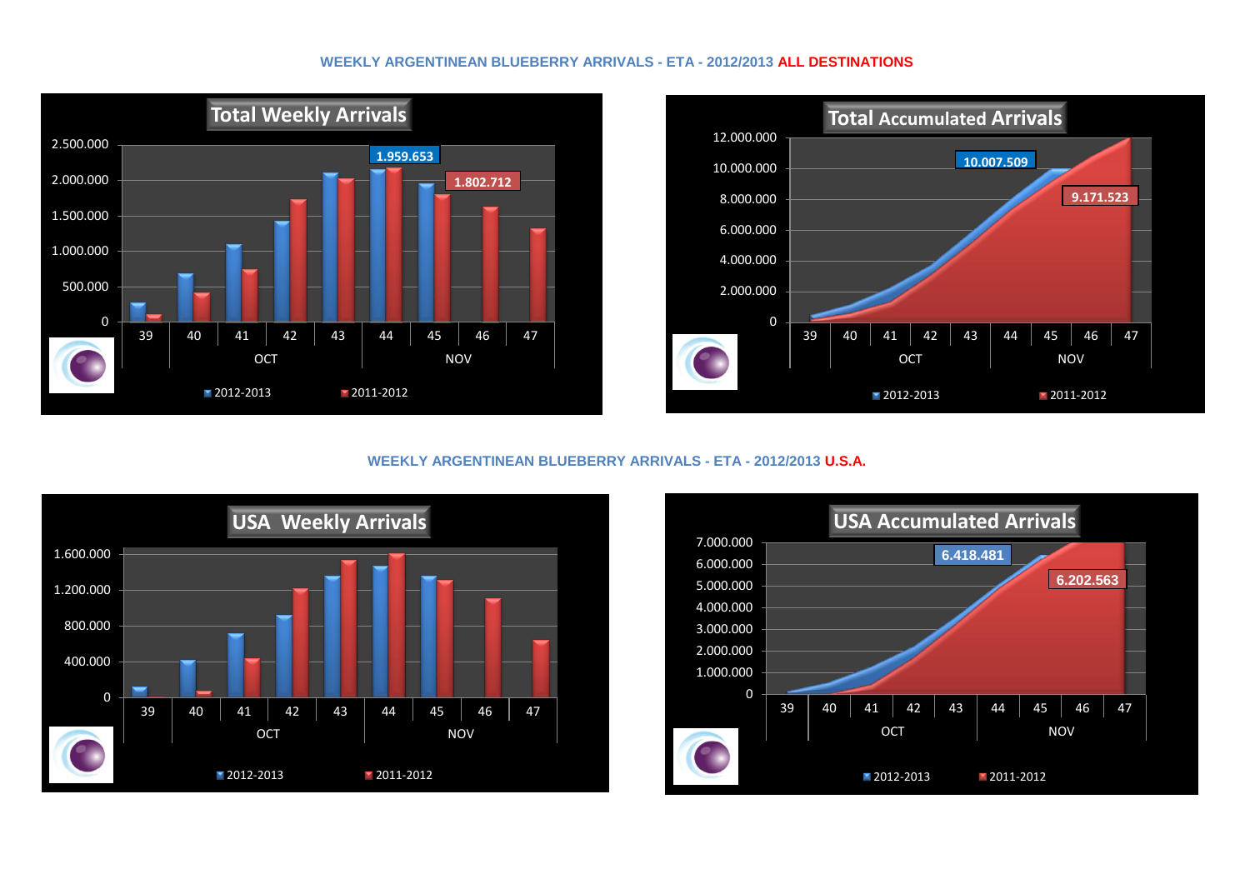#### **WEEKLY ARGENTINEAN BLUEBERRY ARRIVALS - ETA - 2012/2013 ALL DESTINATIONS**





## **WEEKLY ARGENTINEAN BLUEBERRY ARRIVALS - ETA - 2012/2013 U.S.A.**



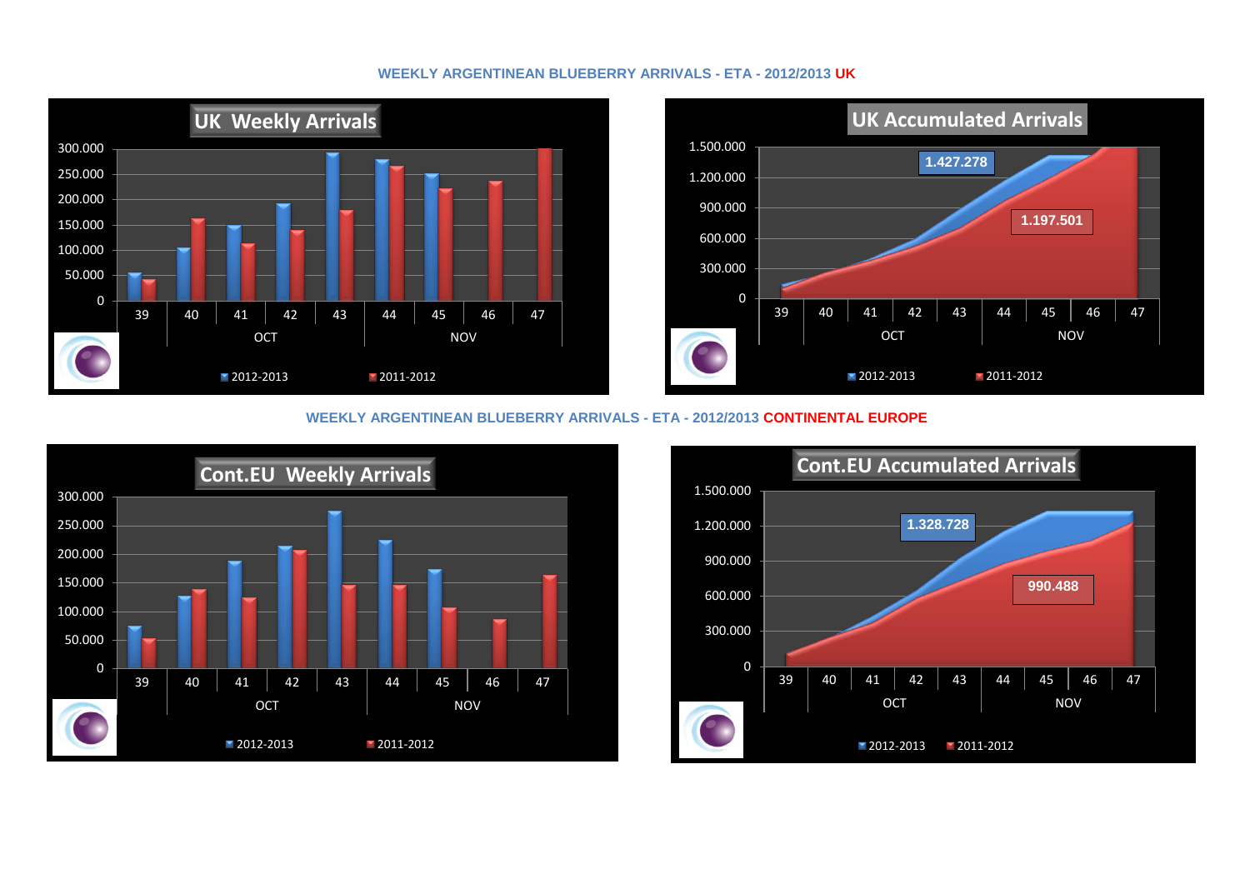#### **WEEKLY ARGENTINEAN BLUEBERRY ARRIVALS - ETA - 2012/2013 UK**



## **WEEKLY ARGENTINEAN BLUEBERRY ARRIVALS - ETA - 2012/2013 CONTINENTAL EUROPE**